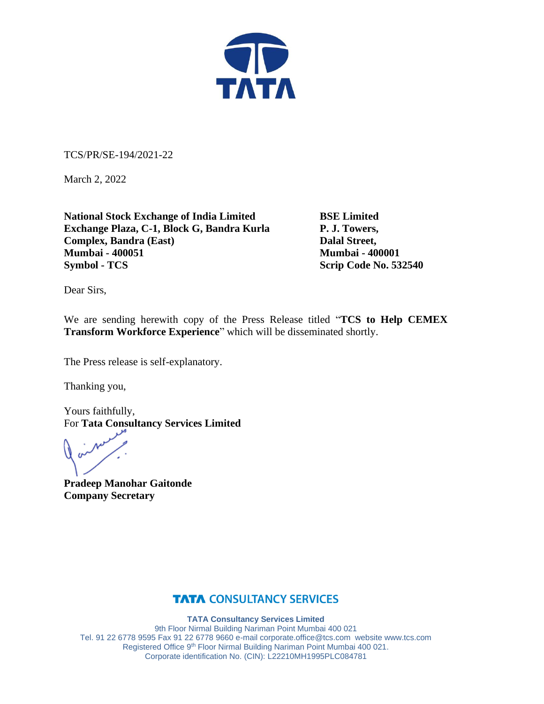

TCS/PR/SE-194/2021-22

March 2, 2022

**National Stock Exchange of India Limited BSE Limited Exchange Plaza, C-1, Block G, Bandra Kurla P. J. Towers, Complex, Bandra (East)** Dalal Street, **Mumbai - 400051 Mumbai - 400001 Symbol - TCS** Scrip Code No. 532540

Dear Sirs,

We are sending herewith copy of the Press Release titled "**TCS to Help CEMEX Transform Workforce Experience**" which will be disseminated shortly.

The Press release is self-explanatory.

Thanking you,

Yours faithfully, For **Tata Consultancy Services Limited**

**Pradeep Manohar Gaitonde Company Secretary**

### **TATA CONSULTANCY SERVICES**

**TATA Consultancy Services Limited**

9th Floor Nirmal Building Nariman Point Mumbai 400 021 Tel. 91 22 6778 9595 Fax 91 22 6778 9660 e-mai[l corporate.office@tcs.com](mailto:corporate.office@tcs.com) website www.tcs.com Registered Office 9th Floor Nirmal Building Nariman Point Mumbai 400 021. Corporate identification No. (CIN): L22210MH1995PLC084781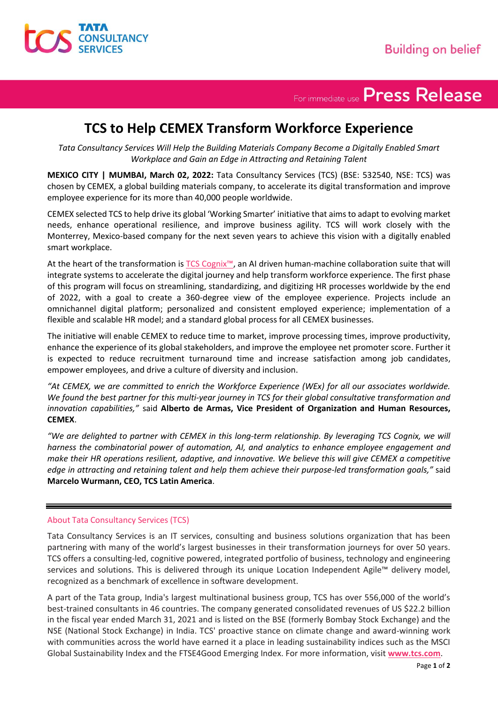

# For immediate use Press Release

## **TCS to Help CEMEX Transform Workforce Experience**

*Tata Consultancy Services Will Help the Building Materials Company Become a Digitally Enabled Smart Workplace and Gain an Edge in Attracting and Retaining Talent*

**MEXICO CITY | MUMBAI, March 02, 2022:** Tata Consultancy Services (TCS) (BSE: 532540, NSE: TCS) was chosen by CEMEX, a global building materials company, to accelerate its digital transformation and improve employee experience for its more than 40,000 people worldwide.

CEMEX selected TCS to help drive its global 'Working Smarter' initiative that aimsto adapt to evolving market needs, enhance operational resilience, and improve business agility. TCS will work closely with the Monterrey, Mexico-based company for the next seven years to achieve this vision with a digitally enabled smart workplace.

At the heart of the transformation is [TCS Cognix™](https://www.tcs.com/cognitive-business-operations/solutions/cognix-human-machine-ai-collaboration-business-suite), an AI driven human-machine collaboration suite that will integrate systems to accelerate the digital journey and help transform workforce experience. The first phase of this program will focus on streamlining, standardizing, and digitizing HR processes worldwide by the end of 2022, with a goal to create a 360-degree view of the employee experience. Projects include an omnichannel digital platform; personalized and consistent employed experience; implementation of a flexible and scalable HR model; and a standard global process for all CEMEX businesses.

The initiative will enable CEMEX to reduce time to market, improve processing times, improve productivity, enhance the experience of its global stakeholders, and improve the employee net promoter score. Further it is expected to reduce recruitment turnaround time and increase satisfaction among job candidates, empower employees, and drive a culture of diversity and inclusion.

*"At CEMEX, we are committed to enrich the Workforce Experience (WEx) for all our associates worldwide. We found the best partner for this multi-year journey in TCS for their global consultative transformation and innovation capabilities,"* said **Alberto de Armas, Vice President of Organization and Human Resources, CEMEX**.

*"We are delighted to partner with CEMEX in this long-term relationship. By leveraging TCS Cognix, we will harness the combinatorial power of automation, AI, and analytics to enhance employee engagement and make their HR operations resilient, adaptive, and innovative. We believe this will give CEMEX a competitive edge in attracting and retaining talent and help them achieve their purpose-led transformation goals,"* said **Marcelo Wurmann, CEO, TCS Latin America**.

#### About Tata Consultancy Services (TCS)

Tata Consultancy Services is an IT services, consulting and business solutions organization that has been partnering with many of the world's largest businesses in their transformation journeys for over 50 years. TCS offers a consulting-led, cognitive powered, integrated portfolio of business, technology and engineering services and solutions. This is delivered through its unique Location Independent Agile™ delivery model, recognized as a benchmark of excellence in software development.

A part of the Tata group, India's largest multinational business group, TCS has over 556,000 of the world's best-trained consultants in 46 countries. The company generated consolidated revenues of US \$22.2 billion in the fiscal year ended March 31, 2021 and is listed on the BSE (formerly Bombay Stock Exchange) and the NSE (National Stock Exchange) in India. TCS' proactive stance on climate change and award-winning work with communities across the world have earned it a place in leading sustainability indices such as the MSCI Global Sustainability Index and the FTSE4Good Emerging Index. For more information, visit **[www.tcs.com](https://www.tcs.com/)**.